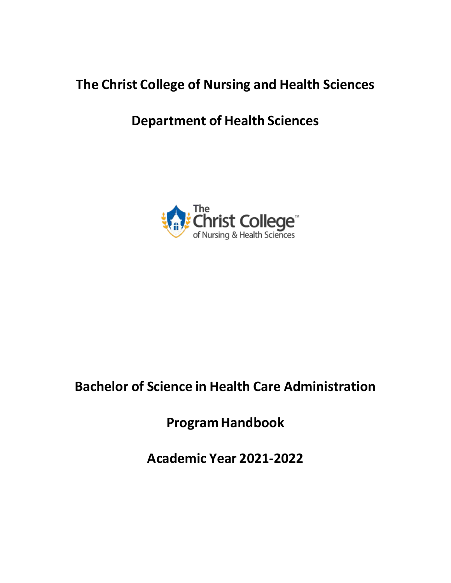# **The Christ College of Nursing and Health Sciences**

# **Department of Health Sciences**



# **Bachelor of Science in Health Care Administration**

**Program Handbook**

**Academic Year 2021-2022**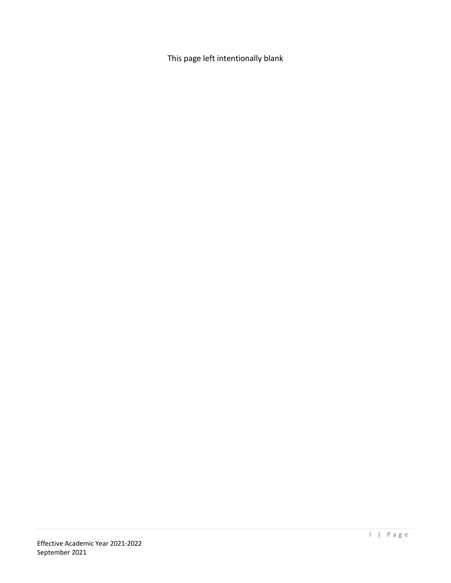This page left intentionally blank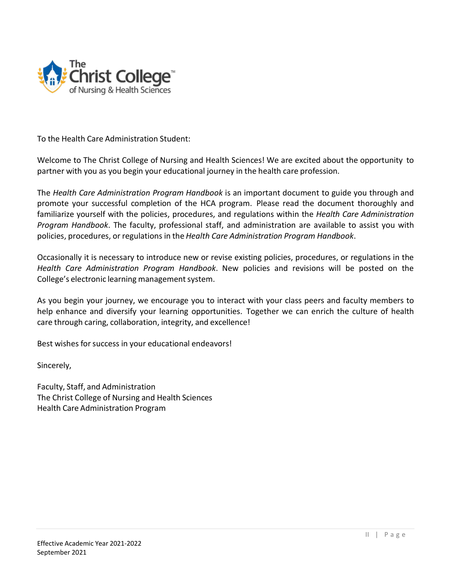

To the Health Care Administration Student:

Welcome to The Christ College of Nursing and Health Sciences! We are excited about the opportunity to partner with you as you begin your educational journey in the health care profession.

The *Health Care Administration Program Handbook* is an important document to guide you through and promote your successful completion of the HCA program. Please read the document thoroughly and familiarize yourself with the policies, procedures, and regulations within the *Health Care Administration Program Handbook*. The faculty, professional staff, and administration are available to assist you with policies, procedures, or regulations in the *Health Care Administration Program Handbook*.

Occasionally it is necessary to introduce new or revise existing policies, procedures, or regulations in the *Health Care Administration Program Handbook*. New policies and revisions will be posted on the College's electronic learning management system.

As you begin your journey, we encourage you to interact with your class peers and faculty members to help enhance and diversify your learning opportunities. Together we can enrich the culture of health care through caring, collaboration, integrity, and excellence!

Best wishes for success in your educational endeavors!

Sincerely,

Faculty, Staff, and Administration The Christ College of Nursing and Health Sciences Health Care Administration Program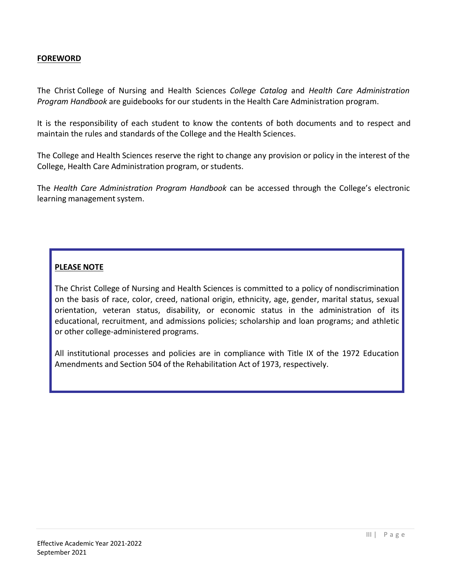#### **FOREWORD**

The Christ College of Nursing and Health Sciences *College Catalog* and *Health Care Administration Program Handbook* are guidebooks for our students in the Health Care Administration program.

It is the responsibility of each student to know the contents of both documents and to respect and maintain the rules and standards of the College and the Health Sciences.

The College and Health Sciences reserve the right to change any provision or policy in the interest of the College, Health Care Administration program, or students.

The *Health Care Administration Program Handbook* can be accessed through the College's electronic learning management system.

# **PLEASE NOTE**

The Christ College of Nursing and Health Sciences is committed to a policy of nondiscrimination on the basis of race, color, creed, national origin, ethnicity, age, gender, marital status, sexual orientation, veteran status, disability, or economic status in the administration of its educational, recruitment, and admissions policies; scholarship and loan programs; and athletic or other college‐administered programs.

All institutional processes and policies are in compliance with Title IX of the 1972 Education Amendments and Section 504 of the Rehabilitation Act of 1973, respectively.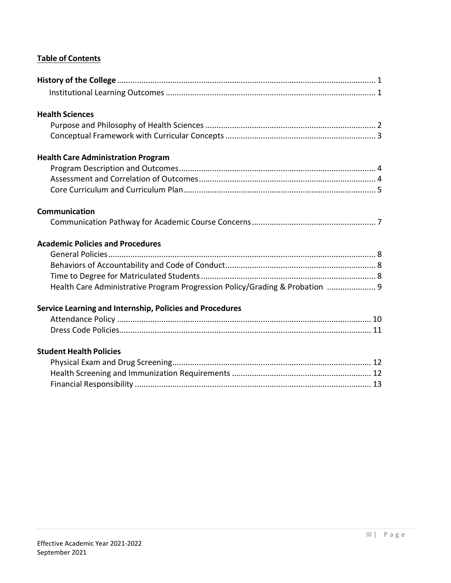# **Table of Contents**

| <b>Health Sciences</b>                                                       |  |
|------------------------------------------------------------------------------|--|
|                                                                              |  |
|                                                                              |  |
| <b>Health Care Administration Program</b>                                    |  |
|                                                                              |  |
|                                                                              |  |
|                                                                              |  |
| Communication                                                                |  |
|                                                                              |  |
| <b>Academic Policies and Procedures</b>                                      |  |
|                                                                              |  |
|                                                                              |  |
|                                                                              |  |
| Health Care Administrative Program Progression Policy/Grading & Probation  9 |  |
| Service Learning and Internship, Policies and Procedures                     |  |
|                                                                              |  |
|                                                                              |  |
| <b>Student Health Policies</b>                                               |  |
|                                                                              |  |
|                                                                              |  |
|                                                                              |  |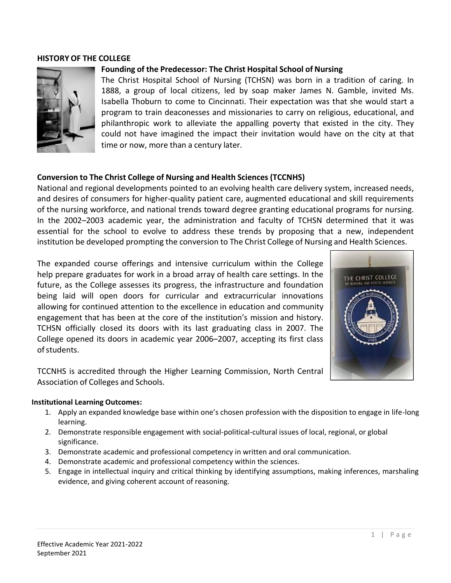#### <span id="page-5-0"></span>**HISTORY OF THE COLLEGE**



#### **Founding of the Predecessor: The Christ Hospital School of Nursing**

The Christ Hospital School of Nursing (TCHSN) was born in a tradition of caring. In 1888, a group of local citizens, led by soap maker James N. Gamble, invited Ms. Isabella Thoburn to come to Cincinnati. Their expectation was that she would start a program to train deaconesses and missionaries to carry on religious, educational, and philanthropic work to alleviate the appalling poverty that existed in the city. They could not have imagined the impact their invitation would have on the city at that time or now, more than a century later.

#### **Conversion to The Christ College of Nursing and Health Sciences (TCCNHS)**

National and regional developments pointed to an evolving health care delivery system, increased needs, and desires of consumers for higher-quality patient care, augmented educational and skill requirements of the nursing workforce, and national trends toward degree granting educational programs for nursing. In the 2002–2003 academic year, the administration and faculty of TCHSN determined that it was essential for the school to evolve to address these trends by proposing that a new, independent institution be developed prompting the conversion to The Christ College of Nursing and Health Sciences.

The expanded course offerings and intensive curriculum within the College help prepare graduates for work in a broad array of health care settings. In the future, as the College assesses its progress, the infrastructure and foundation being laid will open doors for curricular and extracurricular innovations allowing for continued attention to the excellence in education and community engagement that has been at the core of the institution's mission and history. TCHSN officially closed its doors with its last graduating class in 2007. The College opened its doors in academic year 2006–2007, accepting its first class ofstudents.

TCCNHS is accredited through the Higher Learning Commission, North Central Association of Colleges and Schools.

#### **Institutional Learning Outcomes:**

- 1. Apply an expanded knowledge base within one's chosen profession with the disposition to engage in life-long learning.
- 2. Demonstrate responsible engagement with social-political-cultural issues of local, regional, or global significance.
- 3. Demonstrate academic and professional competency in written and oral communication.
- 4. Demonstrate academic and professional competency within the sciences.
- 5. Engage in intellectual inquiry and critical thinking by identifying assumptions, making inferences, marshaling evidence, and giving coherent account of reasoning.

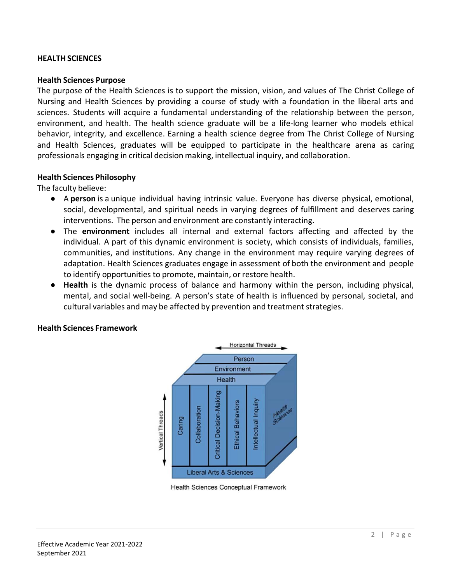#### <span id="page-6-0"></span>**HEALTHSCIENCES**

#### **Health Sciences Purpose**

The purpose of the Health Sciences is to support the mission, vision, and values of The Christ College of Nursing and Health Sciences by providing a course of study with a foundation in the liberal arts and sciences. Students will acquire a fundamental understanding of the relationship between the person, environment, and health. The health science graduate will be a life‐long learner who models ethical behavior, integrity, and excellence. Earning a health science degree from The Christ College of Nursing and Health Sciences, graduates will be equipped to participate in the healthcare arena as caring professionals engaging in critical decision making, intellectual inquiry, and collaboration.

#### **Health Sciences Philosophy**

The faculty believe:

- A **person** is a unique individual having intrinsic value. Everyone has diverse physical, emotional, social, developmental, and spiritual needs in varying degrees of fulfillment and deserves caring interventions. The person and environment are constantly interacting.
- The **environment** includes all internal and external factors affecting and affected by the individual. A part of this dynamic environment is society, which consists of individuals, families, communities, and institutions. Any change in the environment may require varying degrees of adaptation. Health Sciences graduates engage in assessment of both the environment and people to identify opportunities to promote, maintain, or restore health.
- **Health** is the dynamic process of balance and harmony within the person, including physical, mental, and social well-being. A person's state of health is influenced by personal, societal, and cultural variables and may be affected by prevention and treatment strategies.

#### **Health Sciences Framework**



**Health Sciences Conceptual Framework**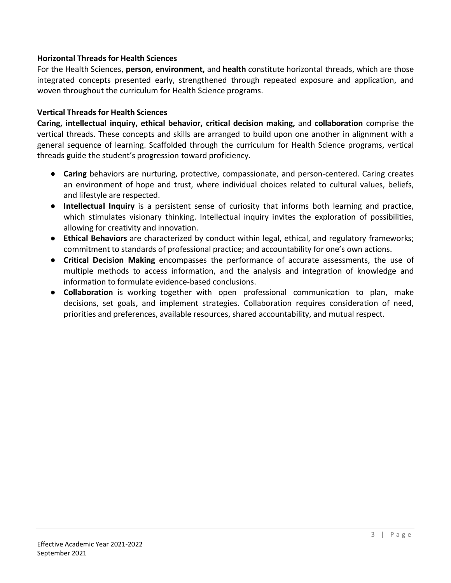# **Horizontal Threads for Health Sciences**

For the Health Sciences, **person, environment,** and **health** constitute horizontal threads, which are those integrated concepts presented early, strengthened through repeated exposure and application, and woven throughout the curriculum for Health Science programs.

#### **Vertical Threads for Health Sciences**

**Caring, intellectual inquiry, ethical behavior, critical decision making,** and **collaboration** comprise the vertical threads. These concepts and skills are arranged to build upon one another in alignment with a general sequence of learning. Scaffolded through the curriculum for Health Science programs, vertical threads guide the student's progression toward proficiency.

- **Caring** behaviors are nurturing, protective, compassionate, and person-centered. Caring creates an environment of hope and trust, where individual choices related to cultural values, beliefs, and lifestyle are respected.
- **Intellectual Inquiry** is a persistent sense of curiosity that informs both learning and practice, which stimulates visionary thinking. Intellectual inquiry invites the exploration of possibilities, allowing for creativity and innovation.
- **Ethical Behaviors** are characterized by conduct within legal, ethical, and regulatory frameworks; commitment to standards of professional practice; and accountability for one's own actions.
- **Critical Decision Making** encompasses the performance of accurate assessments, the use of multiple methods to access information, and the analysis and integration of knowledge and information to formulate evidence‐based conclusions.
- **Collaboration** is working together with open professional communication to plan, make decisions, set goals, and implement strategies. Collaboration requires consideration of need, priorities and preferences, available resources, shared accountability, and mutual respect.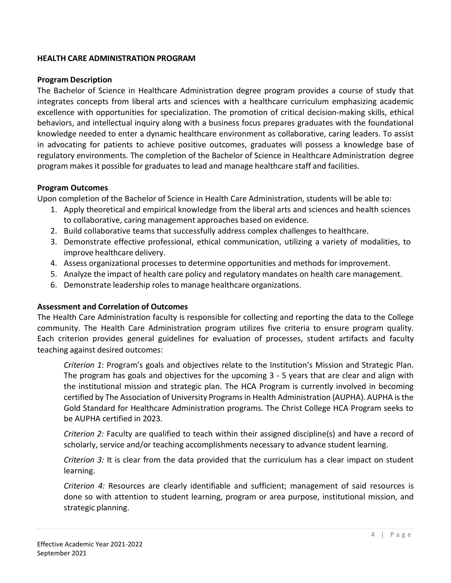# <span id="page-8-0"></span>**HEALTH CARE ADMINISTRATION PROGRAM**

#### **Program Description**

The Bachelor of Science in Healthcare Administration degree program provides a course of study that integrates concepts from liberal arts and sciences with a healthcare curriculum emphasizing academic excellence with opportunities for specialization. The promotion of critical decision-making skills, ethical behaviors, and intellectual inquiry along with a business focus prepares graduates with the foundational knowledge needed to enter a dynamic healthcare environment as collaborative, caring leaders. To assist in advocating for patients to achieve positive outcomes, graduates will possess a knowledge base of regulatory environments. The completion of the Bachelor of Science in Healthcare Administration degree program makes it possible for graduates to lead and manage healthcare staff and facilities.

#### **Program Outcomes**

Upon completion of the Bachelor of Science in Health Care Administration, students will be able to:

- 1. Apply theoretical and empirical knowledge from the liberal arts and sciences and health sciences to collaborative, caring management approaches based on evidence.
- 2. Build collaborative teams that successfully address complex challenges to healthcare.
- 3. Demonstrate effective professional, ethical communication, utilizing a variety of modalities, to improve healthcare delivery.
- 4. Assess organizational processes to determine opportunities and methods for improvement.
- 5. Analyze the impact of health care policy and regulatory mandates on health care management.
- 6. Demonstrate leadership roles to manage healthcare organizations.

# <span id="page-8-1"></span>**Assessment and Correlation of Outcomes**

The Health Care Administration faculty is responsible for collecting and reporting the data to the College community. The Health Care Administration program utilizes five criteria to ensure program quality. Each criterion provides general guidelines for evaluation of processes, student artifacts and faculty teaching against desired outcomes:

*Criterion 1*: Program's goals and objectives relate to the Institution's Mission and Strategic Plan. The program has goals and objectives for the upcoming 3 ‐ 5 years that are clear and align with the institutional mission and strategic plan. The HCA Program is currently involved in becoming certified by The Association of University Programs in Health Administration (AUPHA). AUPHA is the Gold Standard for Healthcare Administration programs. The Christ College HCA Program seeks to be AUPHA certified in 2023.

*Criterion 2:* Faculty are qualified to teach within their assigned discipline(s) and have a record of scholarly, service and/or teaching accomplishments necessary to advance student learning.

*Criterion 3:* It is clear from the data provided that the curriculum has a clear impact on student learning.

*Criterion 4:* Resources are clearly identifiable and sufficient; management of said resources is done so with attention to student learning, program or area purpose, institutional mission, and strategic planning.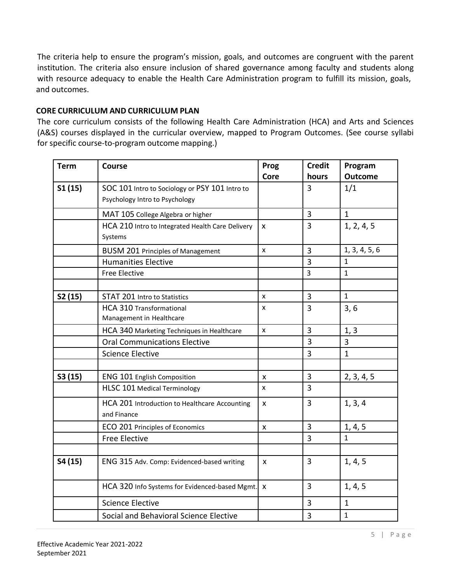The criteria help to ensure the program's mission, goals, and outcomes are congruent with the parent institution. The criteria also ensure inclusion of shared governance among faculty and students along with resource adequacy to enable the Health Care Administration program to fulfill its mission, goals, and outcomes.

# <span id="page-9-0"></span>**CORE CURRICULUM AND CURRICULUM PLAN**

The core curriculum consists of the following Health Care Administration (HCA) and Arts and Sciences (A&S) courses displayed in the curricular overview, mapped to Program Outcomes. (See course syllabi for specific course‐to‐program outcome mapping.)

| <b>Term</b> | <b>Course</b>                                                                    | Prog | <b>Credit</b>  | Program        |
|-------------|----------------------------------------------------------------------------------|------|----------------|----------------|
|             |                                                                                  | Core | hours          | <b>Outcome</b> |
| S1(15)      | SOC 101 Intro to Sociology or PSY 101 Intro to<br>Psychology Intro to Psychology |      | $\overline{3}$ | 1/1            |
|             | MAT 105 College Algebra or higher                                                |      | $\overline{3}$ | $\mathbf{1}$   |
|             | HCA 210 Intro to Integrated Health Care Delivery<br>Systems                      | X    | 3              | 1, 2, 4, 5     |
|             | <b>BUSM 201 Principles of Management</b>                                         | X    | $\overline{3}$ | 1, 3, 4, 5, 6  |
|             | <b>Humanities Elective</b>                                                       |      | $\overline{3}$ | 1              |
|             | <b>Free Elective</b>                                                             |      | $\overline{3}$ | $\mathbf{1}$   |
|             |                                                                                  |      |                |                |
| S2 (15)     | <b>STAT 201 Intro to Statistics</b>                                              | x    | 3              | $\mathbf{1}$   |
|             | HCA 310 Transformational<br>Management in Healthcare                             | X    | 3              | 3, 6           |
|             | HCA 340 Marketing Techniques in Healthcare                                       | x    | $\overline{3}$ | 1, 3           |
|             | <b>Oral Communications Elective</b>                                              |      | $\overline{3}$ | $\overline{3}$ |
|             | <b>Science Elective</b>                                                          |      | 3              | $\mathbf{1}$   |
|             |                                                                                  |      |                |                |
| S3(15)      | <b>ENG 101 English Composition</b>                                               | X    | $\overline{3}$ | 2, 3, 4, 5     |
|             | <b>HLSC 101 Medical Terminology</b>                                              | X    | $\overline{3}$ |                |
|             | HCA 201 Introduction to Healthcare Accounting<br>and Finance                     | X    | $\overline{3}$ | 1, 3, 4        |
|             | ECO 201 Principles of Economics                                                  | X    | 3              | 1, 4, 5        |
|             | <b>Free Elective</b>                                                             |      | $\overline{3}$ | $\mathbf{1}$   |
|             |                                                                                  |      |                |                |
| S4 (15)     | ENG 315 Adv. Comp: Evidenced-based writing                                       | X    | $\overline{3}$ | 1, 4, 5        |
|             | HCA 320 Info Systems for Evidenced-based Mgmt.                                   | X    | $\overline{3}$ | 1, 4, 5        |
|             | <b>Science Elective</b>                                                          |      | 3              | $\mathbf{1}$   |
|             | Social and Behavioral Science Elective                                           |      | 3              | $\mathbf{1}$   |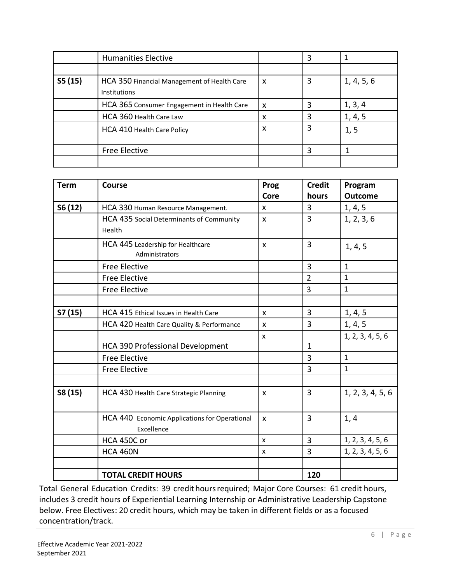|        | <b>Humanities Elective</b>                                  |                           | 3 |            |
|--------|-------------------------------------------------------------|---------------------------|---|------------|
|        |                                                             |                           |   |            |
| S5(15) | HCA 350 Financial Management of Health Care<br>Institutions | X                         | 3 | 1, 4, 5, 6 |
|        | HCA 365 Consumer Engagement in Health Care                  | $\boldsymbol{\mathsf{x}}$ | 3 | 1, 3, 4    |
|        | HCA 360 Health Care Law                                     | x                         | ς | 1, 4, 5    |
|        | HCA 410 Health Care Policy                                  | X                         | 3 | 1, 5       |
|        | Free Elective                                               |                           | ς |            |
|        |                                                             |                           |   |            |

| <b>Term</b> | <b>Course</b>                                               | Prog         | <b>Credit</b>  | Program          |
|-------------|-------------------------------------------------------------|--------------|----------------|------------------|
|             |                                                             | Core         | hours          | <b>Outcome</b>   |
| S6 (12)     | HCA 330 Human Resource Management.                          | X            | 3              | 1, 4, 5          |
|             | HCA 435 Social Determinants of Community                    | $\mathsf{x}$ | $\overline{3}$ | 1, 2, 3, 6       |
|             | Health                                                      |              |                |                  |
|             | HCA 445 Leadership for Healthcare                           | $\mathsf{x}$ | $\overline{3}$ | 1, 4, 5          |
|             | Administrators                                              |              |                |                  |
|             | <b>Free Elective</b>                                        |              | $\overline{3}$ | $\mathbf{1}$     |
|             | <b>Free Elective</b>                                        |              | $\overline{2}$ | $\mathbf{1}$     |
|             | <b>Free Elective</b>                                        |              | 3              | $\mathbf{1}$     |
|             |                                                             |              |                |                  |
| S7 (15)     | HCA 415 Ethical Issues in Health Care                       | X            | 3              | 1, 4, 5          |
|             | HCA 420 Health Care Quality & Performance                   | X            | $\overline{3}$ | 1, 4, 5          |
|             |                                                             | X            |                | 1, 2, 3, 4, 5, 6 |
|             | <b>HCA 390 Professional Development</b>                     |              | $\mathbf{1}$   |                  |
|             | <b>Free Elective</b>                                        |              | 3              | $\mathbf{1}$     |
|             | <b>Free Elective</b>                                        |              | 3              | $\mathbf{1}$     |
|             |                                                             |              |                |                  |
| S8 (15)     | HCA 430 Health Care Strategic Planning                      | $\mathsf{x}$ | 3              | 1, 2, 3, 4, 5, 6 |
|             | HCA 440 Economic Applications for Operational<br>Excellence | $\mathsf{x}$ | $\overline{3}$ | 1, 4             |
|             | <b>HCA 450C or</b>                                          | $\mathsf{x}$ | 3              | 1, 2, 3, 4, 5, 6 |
|             | <b>HCA 460N</b>                                             | X            | 3              | 1, 2, 3, 4, 5, 6 |
|             |                                                             |              |                |                  |
|             | <b>TOTAL CREDIT HOURS</b>                                   |              | 120            |                  |

Total General Education Credits: 39 credit hoursrequired; Major Core Courses: 61 credit hours, includes 3 credit hours of Experiential Learning Internship or Administrative Leadership Capstone below. Free Electives: 20 credit hours, which may be taken in different fields or as a focused concentration/track.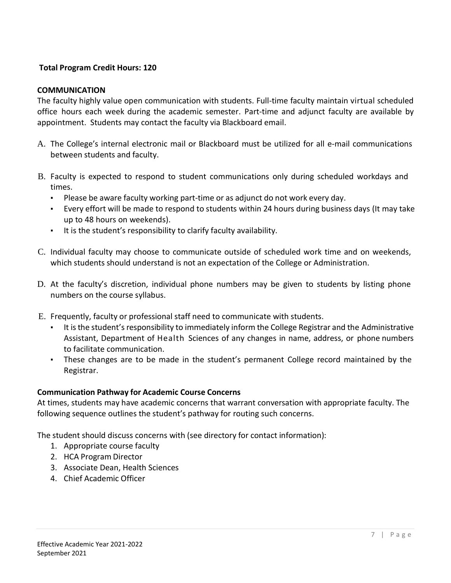# **Total Program Credit Hours: 120**

#### <span id="page-11-0"></span>**COMMUNICATION**

The faculty highly value open communication with students. Full‐time faculty maintain virtual scheduled office hours each week during the academic semester. Part‐time and adjunct faculty are available by appointment. Students may contact the faculty via Blackboard email.

- A. The College's internal electronic mail or Blackboard must be utilized for all e‐mail communications between students and faculty.
- B. Faculty is expected to respond to student communications only during scheduled workdays and times.
	- Please be aware faculty working part-time or as adjunct do not work every day.
	- Every effort will be made to respond to students within 24 hours during business days (It may take up to 48 hours on weekends).
	- It is the student's responsibility to clarify faculty availability.
- C. Individual faculty may choose to communicate outside of scheduled work time and on weekends, which students should understand is not an expectation of the College or Administration.
- D. At the faculty's discretion, individual phone numbers may be given to students by listing phone numbers on the course syllabus.
- E. Frequently, faculty or professional staff need to communicate with students.
	- It isthe student's responsibility to immediately inform the College Registrar and the Administrative Assistant, Department of Health Sciences of any changes in name, address, or phone numbers to facilitate communication.
	- These changes are to be made in the student's permanent College record maintained by the Registrar.

#### <span id="page-11-1"></span>**Communication Pathway for Academic Course Concerns**

At times, students may have academic concerns that warrant conversation with appropriate faculty. The following sequence outlines the student's pathway for routing such concerns.

The student should discuss concerns with (see directory for contact information):

- 1. Appropriate course faculty
- 2. HCA Program Director
- 3. Associate Dean, Health Sciences
- 4. Chief Academic Officer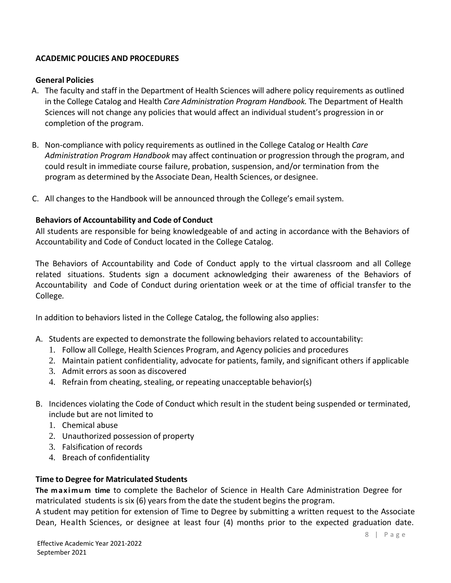# <span id="page-12-0"></span>**ACADEMIC POLICIES AND PROCEDURES**

#### <span id="page-12-1"></span>**General Policies**

- A. The faculty and staff in the Department of Health Sciences will adhere policy requirements as outlined in the College Catalog and Health *Care Administration Program Handbook.* The Department of Health Sciences will not change any policies that would affect an individual student's progression in or completion of the program.
- B. Non‐compliance with policy requirements as outlined in the College Catalog or Health *Care Administration Program Handbook* may affect continuation or progression through the program, and could result in immediate course failure, probation, suspension, and/or termination from the program as determined by the Associate Dean, Health Sciences, or designee.
- C. All changes to the Handbook will be announced through the College's email system.

#### <span id="page-12-2"></span>**Behaviors of Accountability and Code of Conduct**

All students are responsible for being knowledgeable of and acting in accordance with the Behaviors of Accountability and Code of Conduct located in the College Catalog.

The Behaviors of Accountability and Code of Conduct apply to the virtual classroom and all College related situations. Students sign a document acknowledging their awareness of the Behaviors of Accountability and Code of Conduct during orientation week or at the time of official transfer to the College*.*

In addition to behaviors listed in the College Catalog, the following also applies:

- A. Students are expected to demonstrate the following behaviors related to accountability:
	- 1. Follow all College, Health Sciences Program, and Agency policies and procedures
	- 2. Maintain patient confidentiality, advocate for patients, family, and significant others if applicable
	- 3. Admit errors as soon as discovered
	- 4. Refrain from cheating, stealing, or repeating unacceptable behavior(s)
- B. Incidences violating the Code of Conduct which result in the student being suspended or terminated, include but are not limited to
	- 1. Chemical abuse
	- 2. Unauthorized possession of property
	- 3. Falsification of records
	- 4. Breach of confidentiality

#### <span id="page-12-3"></span>**Time to Degree for Matriculated Students**

**The maximum time** to complete the Bachelor of Science in Health Care Administration Degree for matriculated students is six (6) years from the date the student begins the program.

A student may petition for extension of Time to Degree by submitting a written request to the Associate Dean, Health Sciences, or designee at least four (4) months prior to the expected graduation date.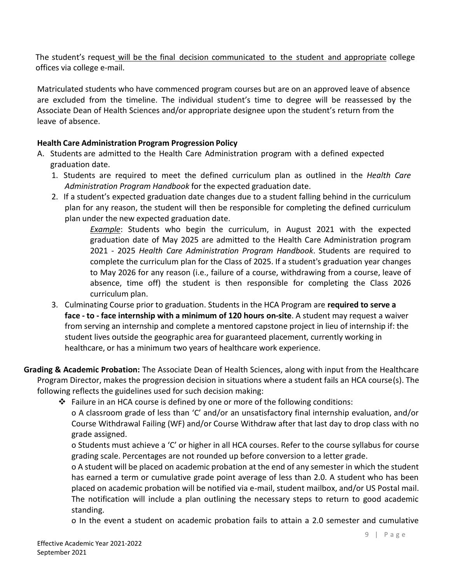The student's request will be the final decision communicated to the student and appropriate college offices via college e‐mail.

Matriculated students who have commenced program courses but are on an approved leave of absence are excluded from the timeline. The individual student's time to degree will be reassessed by the Associate Dean of Health Sciences and/or appropriate designee upon the student's return from the leave of absence.

# **Health Care Administration Program Progression Policy**

- A. Students are admitted to the Health Care Administration program with a defined expected graduation date.
	- 1. Students are required to meet the defined curriculum plan as outlined in the *Health Care Administration Program Handbook* for the expected graduation date.
	- 2. If a student's expected graduation date changes due to a student falling behind in the curriculum plan for any reason, the student will then be responsible for completing the defined curriculum plan under the new expected graduation date.

*Example*: Students who begin the curriculum, in August 2021 with the expected graduation date of May 2025 are admitted to the Health Care Administration program 2021 ‐ 2025 *Health Care Administration Program Handbook*. Students are required to complete the curriculum plan for the Class of 2025. If a student's graduation year changes to May 2026 for any reason (i.e., failure of a course, withdrawing from a course, leave of absence, time off) the student is then responsible for completing the Class 2026 curriculum plan.

3. Culminating Course prior to graduation. Students in the HCA Program are **required to serve a face - to - face internship with a minimum of 120 hours on-site**. A student may request a waiver from serving an internship and complete a mentored capstone project in lieu of internship if: the student lives outside the geographic area for guaranteed placement, currently working in healthcare, or has a minimum two years of healthcare work experience.

**Grading & Academic Probation:** The Associate Dean of Health Sciences, along with input from the Healthcare Program Director, makes the progression decision in situations where a student fails an HCA course(s). The following reflects the guidelines used for such decision making:

❖ Failure in an HCA course is defined by one or more of the following conditions:

o A classroom grade of less than 'C' and/or an unsatisfactory final internship evaluation, and/or Course Withdrawal Failing (WF) and/or Course Withdraw after that last day to drop class with no grade assigned.

o Students must achieve a 'C' or higher in all HCA courses. Refer to the course syllabus for course grading scale. Percentages are not rounded up before conversion to a letter grade.

o A student will be placed on academic probation at the end of any semester in which the student has earned a term or cumulative grade point average of less than 2.0. A student who has been placed on academic probation will be notified via e-mail, student mailbox, and/or US Postal mail. The notification will include a plan outlining the necessary steps to return to good academic standing.

o In the event a student on academic probation fails to attain a 2.0 semester and cumulative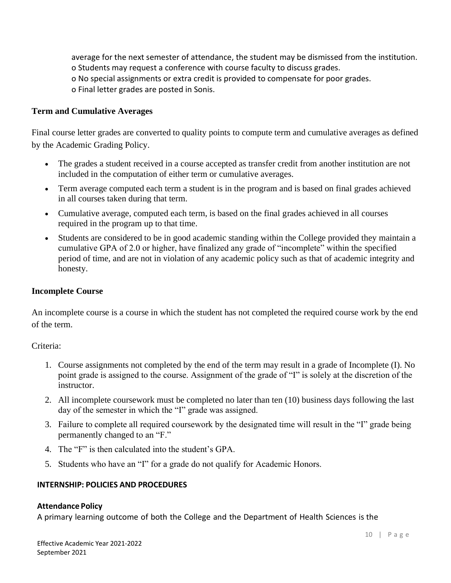average for the next semester of attendance, the student may be dismissed from the institution. o Students may request a conference with course faculty to discuss grades.

- o No special assignments or extra credit is provided to compensate for poor grades.
- o Final letter grades are posted in Sonis.

# **Term and Cumulative Averages**

Final course letter grades are converted to quality points to compute term and cumulative averages as defined by the Academic Grading Policy.

- The grades a student received in a course accepted as transfer credit from another institution are not included in the computation of either term or cumulative averages.
- Term average computed each term a student is in the program and is based on final grades achieved in all courses taken during that term.
- Cumulative average, computed each term, is based on the final grades achieved in all courses required in the program up to that time.
- Students are considered to be in good academic standing within the College provided they maintain a cumulative GPA of 2.0 or higher, have finalized any grade of "incomplete" within the specified period of time, and are not in violation of any academic policy such as that of academic integrity and honesty.

# **Incomplete Course**

An incomplete course is a course in which the student has not completed the required course work by the end of the term.

Criteria:

- 1. Course assignments not completed by the end of the term may result in a grade of Incomplete (I). No point grade is assigned to the course. Assignment of the grade of "I" is solely at the discretion of the instructor.
- 2. All incomplete coursework must be completed no later than ten (10) business days following the last day of the semester in which the "I" grade was assigned.
- 3. Failure to complete all required coursework by the designated time will result in the "I" grade being permanently changed to an "F."
- 4. The "F" is then calculated into the student's GPA.
- 5. Students who have an "I" for a grade do not qualify for Academic Honors.

#### <span id="page-14-0"></span>**INTERNSHIP: POLICIES AND PROCEDURES**

#### <span id="page-14-1"></span>**Attendance Policy**

A primary learning outcome of both the College and the Department of Health Sciences is the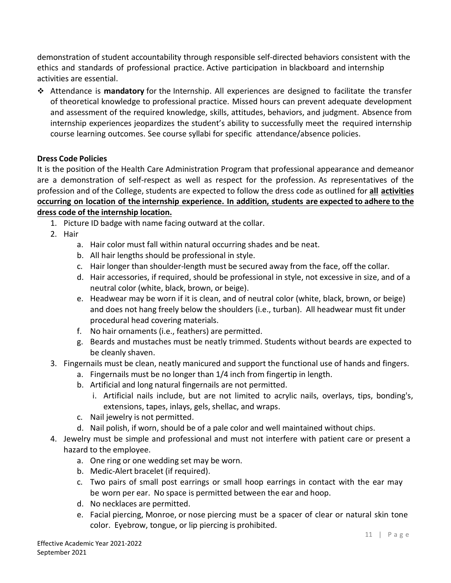demonstration of student accountability through responsible self‐directed behaviors consistent with the ethics and standards of professional practice. Active participation in blackboard and internship activities are essential.

❖ Attendance is **mandatory** for the Internship. All experiences are designed to facilitate the transfer of theoretical knowledge to professional practice. Missed hours can prevent adequate development and assessment of the required knowledge, skills, attitudes, behaviors, and judgment. Absence from internship experiences jeopardizes the student's ability to successfully meet the required internship course learning outcomes. See course syllabi for specific attendance/absence policies.

# **Dress Code Policies**

It is the position of the Health Care Administration Program that professional appearance and demeanor are a demonstration of self‐respect as well as respect for the profession. As representatives of the profession and of the College, students are expected to follow the dress code as outlined for **all activities occurring on location of the internship experience. In addition, students are expected to adhere to the dress code of the internship location.**

- <span id="page-15-0"></span>1. Picture ID badge with name facing outward at the collar.
- 2. Hair
	- a. Hair color must fall within natural occurring shades and be neat.
	- b. All hair lengths should be professional in style.
	- c. Hair longer than shoulder‐length must be secured away from the face, off the collar.
	- d. Hair accessories, if required, should be professional in style, not excessive in size, and of a neutral color (white, black, brown, or beige).
	- e. Headwear may be worn if it is clean, and of neutral color (white, black, brown, or beige) and does not hang freely below the shoulders (i.e., turban). All headwear must fit under procedural head covering materials.
	- f. No hair ornaments (i.e., feathers) are permitted.
	- g. Beards and mustaches must be neatly trimmed. Students without beards are expected to be cleanly shaven.
- 3. Fingernails must be clean, neatly manicured and support the functional use of hands and fingers.
	- a. Fingernails must be no longer than 1/4 inch from fingertip in length.
		- b. Artificial and long natural fingernails are not permitted.
			- i. Artificial nails include, but are not limited to acrylic nails, overlays, tips, bonding's, extensions, tapes, inlays, gels, shellac, and wraps.
		- c. Nail jewelry is not permitted.
		- d. Nail polish, if worn, should be of a pale color and well maintained without chips.
- 4. Jewelry must be simple and professional and must not interfere with patient care or present a hazard to the employee.
	- a. One ring or one wedding set may be worn.
	- b. Medic‐Alert bracelet (if required).
	- c. Two pairs of small post earrings or small hoop earrings in contact with the ear may be worn per ear. No space is permitted between the ear and hoop.
	- d. No necklaces are permitted.
	- e. Facial piercing, Monroe, or nose piercing must be a spacer of clear or natural skin tone color. Eyebrow, tongue, or lip piercing is prohibited.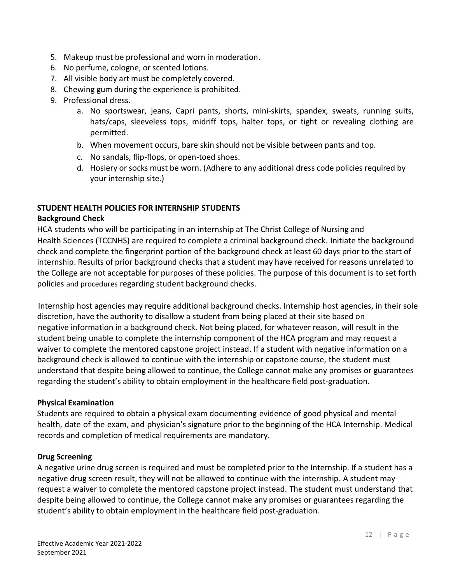- 5. Makeup must be professional and worn in moderation.
- 6. No perfume, cologne, or scented lotions.
- 7. All visible body art must be completely covered.
- 8. Chewing gum during the experience is prohibited.
- 9. Professional dress.
	- a. No sportswear, jeans, Capri pants, shorts, mini‐skirts, spandex, sweats, running suits, hats/caps, sleeveless tops, midriff tops, halter tops, or tight or revealing clothing are permitted.
	- b. When movement occurs, bare skin should not be visible between pants and top.
	- c. No sandals, flip‐flops, or open‐toed shoes.
	- d. Hosiery or socks must be worn. (Adhere to any additional dress code policies required by your internship site.)

#### **STUDENT HEALTH POLICIES FOR INTERNSHIP STUDENTS**

#### **Background Check**

HCA students who will be participating in an internship at The Christ College of Nursing and Health Sciences (TCCNHS) are required to complete a criminal background check. Initiate the background check and complete the fingerprint portion of the background check at least 60 days prior to the start of internship. Results of prior background checks that a student may have received for reasons unrelated to the College are not acceptable for purposes of these policies. The purpose of this document is to set forth policies and procedures regarding student background checks.

 Internship host agencies may require additional background checks. Internship host agencies, in their sole discretion, have the authority to disallow a student from being placed at their site based on negative information in a background check. Not being placed, for whatever reason, will result in the student being unable to complete the internship component of the HCA program and may request a waiver to complete the mentored capstone project instead. If a student with negative information on a background check is allowed to continue with the internship or capstone course, the student must understand that despite being allowed to continue, the College cannot make any promises or guarantees regarding the student's ability to obtain employment in the healthcare field post-graduation.

#### **Physical Examination**

Students are required to obtain a physical exam documenting evidence of good physical and mental health, date of the exam, and physician's signature prior to the beginning of the HCA Internship. Medical records and completion of medical requirements are mandatory.

#### **Drug Screening**

A negative urine drug screen is required and must be completed prior to the Internship. If a student has a negative drug screen result, they will not be allowed to continue with the internship. A student may request a waiver to complete the mentored capstone project instead. The student must understand that despite being allowed to continue, the College cannot make any promises or guarantees regarding the student's ability to obtain employment in the healthcare field post‐graduation.